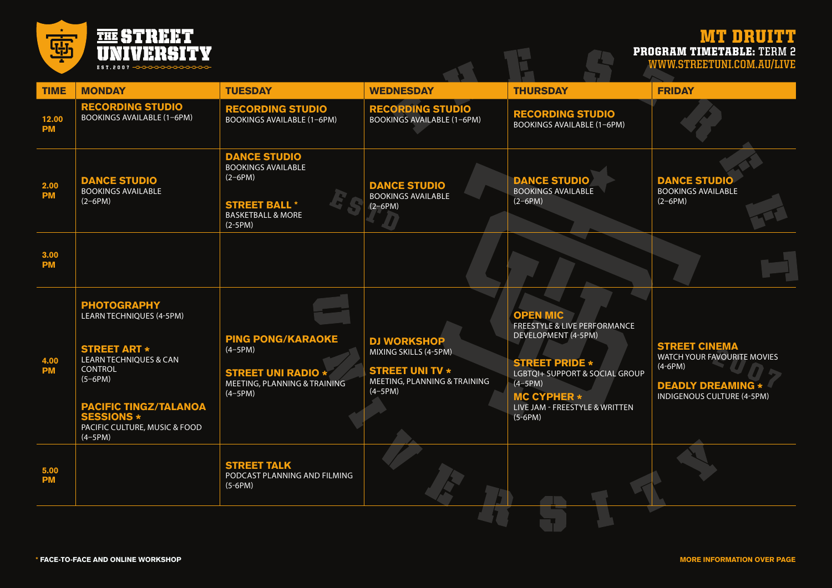

## MT DRUITT PROGRAM TIMETABLE: **TERM 2 WWW.STREETUNI.COM.AU/LIVE**

| <b>TIME</b>        | <b>MONDAY</b>                                                                                                                                                                                                                          | <b>TUESDAY</b>                                                                                                                     | <b>WEDNESDAY</b>                                                                                                   | <b>THURSDAY</b>                                                                                                                                                                                                                | <b>FRIDAY</b>                                                                                                              |
|--------------------|----------------------------------------------------------------------------------------------------------------------------------------------------------------------------------------------------------------------------------------|------------------------------------------------------------------------------------------------------------------------------------|--------------------------------------------------------------------------------------------------------------------|--------------------------------------------------------------------------------------------------------------------------------------------------------------------------------------------------------------------------------|----------------------------------------------------------------------------------------------------------------------------|
| 12.00<br><b>PM</b> | <b>RECORDING STUDIO</b><br><b>BOOKINGS AVAILABLE (1-6PM)</b>                                                                                                                                                                           | <b>RECORDING STUDIO</b><br><b>BOOKINGS AVAILABLE (1-6PM)</b>                                                                       | <b>RECORDING STUDIO</b><br><b>BOOKINGS AVAILABLE (1-6PM)</b>                                                       | <b>RECORDING STUDIO</b><br><b>BOOKINGS AVAILABLE (1-6PM)</b>                                                                                                                                                                   |                                                                                                                            |
| 2.00<br><b>PM</b>  | <b>DANCE STUDIO</b><br><b>BOOKINGS AVAILABLE</b><br>$(2-6PM)$                                                                                                                                                                          | <b>DANCE STUDIO</b><br><b>BOOKINGS AVAILABLE</b><br>$(2-6PM)$<br><b>STREET BALL *</b><br><b>BASKETBALL &amp; MORE</b><br>$(2-5PM)$ | <b>DANCE STUDIO</b><br><b>BOOKINGS AVAILABLE</b><br>$(2-6PM)$                                                      | <b>DANCE STUDIO</b><br><b>BOOKINGS AVAILABLE</b><br>$(2-6PM)$                                                                                                                                                                  | <b>DANCE STUDIO</b><br><b>BOOKINGS AVAILABLE</b><br>$(2-6PM)$                                                              |
| 3.00<br><b>PM</b>  |                                                                                                                                                                                                                                        |                                                                                                                                    |                                                                                                                    |                                                                                                                                                                                                                                |                                                                                                                            |
| 4.00<br><b>PM</b>  | <b>PHOTOGRAPHY</b><br><b>LEARN TECHNIQUES (4-5PM)</b><br><b>STREET ART *</b><br><b>LEARN TECHNIQUES &amp; CAN</b><br>CONTROL<br>$(5-6PM)$<br><b>PACIFIC TINGZ/TALANOA<br/>SESSIONS *</b><br>PACIFIC CULTURE, MUSIC & FOOD<br>$(4-5PM)$ | <b>PING PONG/KARAOKE</b><br>$(4-5PM)$<br><b>STREET UNI RADIO *</b><br>MEETING, PLANNING & TRAINING<br>$(4-5PM)$                    | <b>DJ WORKSHOP</b><br>MIXING SKILLS (4-5PM)<br><b>STREET UNI TV *</b><br>MEETING, PLANNING & TRAINING<br>$(4-5PM)$ | <b>OPEN MIC</b><br><b>FREESTYLE &amp; LIVE PERFORMANCE</b><br>DEVELOPMENT (4-5PM)<br><b>STREET PRIDE *</b><br>LGBTQI+ SUPPORT & SOCIAL GROUP<br>$(4-5PM)$<br><b>MC CYPHER *</b><br>LIVE JAM - FREESTYLE & WRITTEN<br>$(5-6PM)$ | <b>STREET CINEMA</b><br>WATCH YOUR FAVOURITE MOVIES<br>$(4-6PM)$<br><b>DEADLY DREAMING *</b><br>INDIGENOUS CULTURE (4-5PM) |
| 5.00<br><b>PM</b>  |                                                                                                                                                                                                                                        | <b>STREET TALK</b><br>PODCAST PLANNING AND FILMING<br>$(5-6PM)$                                                                    |                                                                                                                    |                                                                                                                                                                                                                                |                                                                                                                            |
|                    |                                                                                                                                                                                                                                        |                                                                                                                                    |                                                                                                                    |                                                                                                                                                                                                                                |                                                                                                                            |

 $\mathcal{L}^{\text{max}}$ 

 $\mathcal{L}^{\text{max}}$